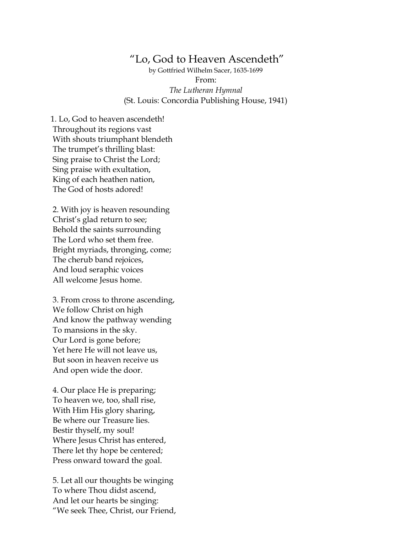## "Lo, God to Heaven Ascendeth"

by Gottfried Wilhelm Sacer, 1635-1699 From: *The Lutheran Hymnal* (St. Louis: Concordia Publishing House, 1941)

1. Lo, God to heaven ascendeth! Throughout its regions vast With shouts triumphant blendeth The trumpet's thrilling blast: Sing praise to Christ the Lord; Sing praise with exultation, King of each heathen nation, The God of hosts adored!

2. With joy is heaven resounding Christ's glad return to see; Behold the saints surrounding The Lord who set them free. Bright myriads, thronging, come; The cherub band rejoices, And loud seraphic voices All welcome Jesus home.

3. From cross to throne ascending, We follow Christ on high And know the pathway wending To mansions in the sky. Our Lord is gone before; Yet here He will not leave us, But soon in heaven receive us And open wide the door.

4. Our place He is preparing; To heaven we, too, shall rise, With Him His glory sharing, Be where our Treasure lies. Bestir thyself, my soul! Where Jesus Christ has entered, There let thy hope be centered; Press onward toward the goal.

5. Let all our thoughts be winging To where Thou didst ascend, And let our hearts be singing: "We seek Thee, Christ, our Friend,